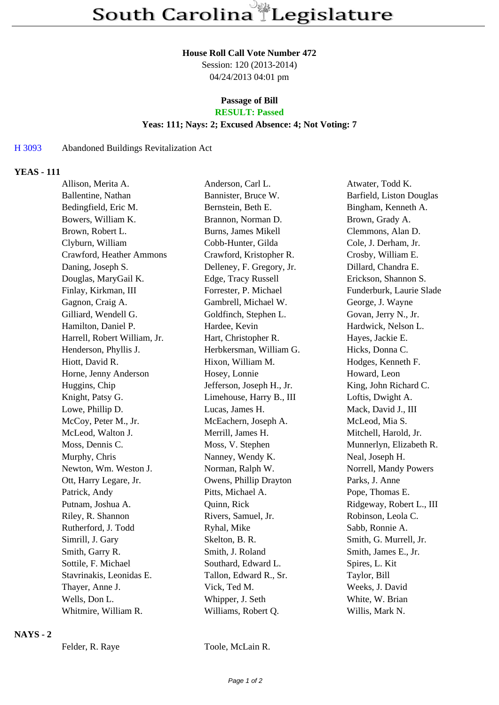#### **House Roll Call Vote Number 472**

Session: 120 (2013-2014) 04/24/2013 04:01 pm

#### **Passage of Bill RESULT: Passed**

# **Yeas: 111; Nays: 2; Excused Absence: 4; Not Voting: 7**

# H 3093 Abandoned Buildings Revitalization Act

## **YEAS - 111**

| Allison, Merita A.           | Anderson, Carl L.         | Atwater, Todd K.         |
|------------------------------|---------------------------|--------------------------|
| Ballentine, Nathan           | Bannister, Bruce W.       | Barfield, Liston Douglas |
| Bedingfield, Eric M.         | Bernstein, Beth E.        | Bingham, Kenneth A.      |
| Bowers, William K.           | Brannon, Norman D.        | Brown, Grady A.          |
| Brown, Robert L.             | Burns, James Mikell       | Clemmons, Alan D.        |
| Clyburn, William             | Cobb-Hunter, Gilda        | Cole, J. Derham, Jr.     |
| Crawford, Heather Ammons     | Crawford, Kristopher R.   | Crosby, William E.       |
| Daning, Joseph S.            | Delleney, F. Gregory, Jr. | Dillard, Chandra E.      |
| Douglas, MaryGail K.         | Edge, Tracy Russell       | Erickson, Shannon S.     |
| Finlay, Kirkman, III         | Forrester, P. Michael     | Funderburk, Laurie Slade |
| Gagnon, Craig A.             | Gambrell, Michael W.      | George, J. Wayne         |
| Gilliard, Wendell G.         | Goldfinch, Stephen L.     | Govan, Jerry N., Jr.     |
| Hamilton, Daniel P.          | Hardee, Kevin             | Hardwick, Nelson L.      |
| Harrell, Robert William, Jr. | Hart, Christopher R.      | Hayes, Jackie E.         |
| Henderson, Phyllis J.        | Herbkersman, William G.   | Hicks, Donna C.          |
| Hiott, David R.              | Hixon, William M.         | Hodges, Kenneth F.       |
| Horne, Jenny Anderson        | Hosey, Lonnie             | Howard, Leon             |
| Huggins, Chip                | Jefferson, Joseph H., Jr. | King, John Richard C.    |
| Knight, Patsy G.             | Limehouse, Harry B., III  | Loftis, Dwight A.        |
| Lowe, Phillip D.             | Lucas, James H.           | Mack, David J., III      |
| McCoy, Peter M., Jr.         | McEachern, Joseph A.      | McLeod, Mia S.           |
| McLeod, Walton J.            | Merrill, James H.         | Mitchell, Harold, Jr.    |
| Moss, Dennis C.              | Moss, V. Stephen          | Munnerlyn, Elizabeth R.  |
| Murphy, Chris                | Nanney, Wendy K.          | Neal, Joseph H.          |
| Newton, Wm. Weston J.        | Norman, Ralph W.          | Norrell, Mandy Powers    |
| Ott, Harry Legare, Jr.       | Owens, Phillip Drayton    | Parks, J. Anne           |
| Patrick, Andy                | Pitts, Michael A.         | Pope, Thomas E.          |
| Putnam, Joshua A.            | Quinn, Rick               | Ridgeway, Robert L., III |
| Riley, R. Shannon            | Rivers, Samuel, Jr.       | Robinson, Leola C.       |
| Rutherford, J. Todd          | Ryhal, Mike               | Sabb, Ronnie A.          |
| Simrill, J. Gary             | Skelton, B. R.            | Smith, G. Murrell, Jr.   |
| Smith, Garry R.              | Smith, J. Roland          | Smith, James E., Jr.     |
| Sottile, F. Michael          | Southard, Edward L.       | Spires, L. Kit           |
| Stavrinakis, Leonidas E.     | Tallon, Edward R., Sr.    | Taylor, Bill             |
| Thayer, Anne J.              | Vick, Ted M.              | Weeks, J. David          |
| Wells, Don L.                | Whipper, J. Seth          | White, W. Brian          |
| Whitmire, William R.         | Williams, Robert Q.       | Willis, Mark N.          |
|                              |                           |                          |

## **NAYS - 2**

Felder, R. Raye Toole, McLain R.